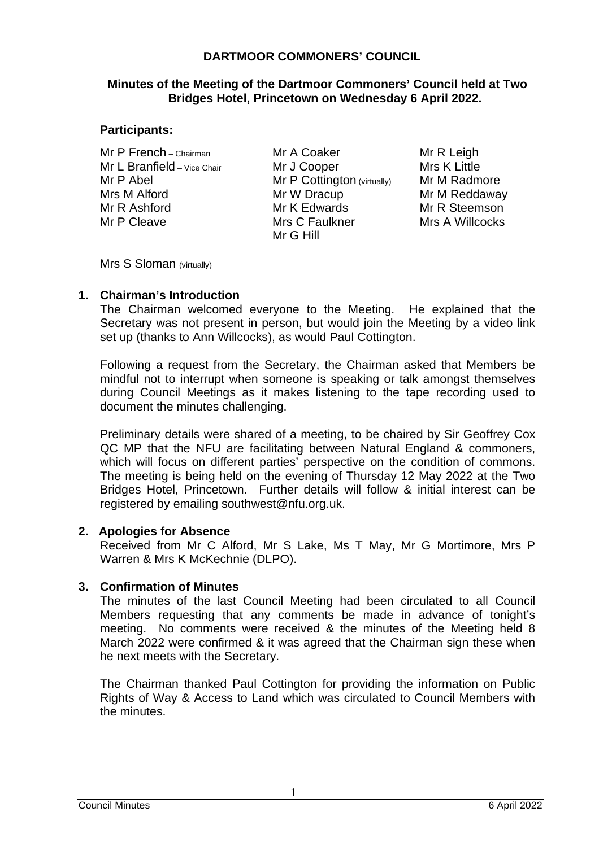## **DARTMOOR COMMONERS' COUNCIL**

### **Minutes of the Meeting of the Dartmoor Commoners' Council held at Two Bridges Hotel, Princetown on Wednesday 6 April 2022.**

### **Participants:**

Mr P French – Chairman Mr L Branfield - Vice Chair Mr P Abel Mrs M Alford Mr R Ashford Mr P Cleave

Mr A Coaker Mr J Cooper Mr P Cottington (virtually) Mr W Dracup Mr K Edwards Mrs C Faulkner Mr G Hill

Mr R Leigh Mrs K Little Mr M Radmore Mr M Reddaway Mr R Steemson Mrs A Willcocks

Mrs S Sloman (virtually)

## **1. Chairman's Introduction**

The Chairman welcomed everyone to the Meeting. He explained that the Secretary was not present in person, but would join the Meeting by a video link set up (thanks to Ann Willcocks), as would Paul Cottington.

Following a request from the Secretary, the Chairman asked that Members be mindful not to interrupt when someone is speaking or talk amongst themselves during Council Meetings as it makes listening to the tape recording used to document the minutes challenging.

Preliminary details were shared of a meeting, to be chaired by Sir Geoffrey Cox QC MP that the NFU are facilitating between Natural England & commoners, which will focus on different parties' perspective on the condition of commons. The meeting is being held on the evening of Thursday 12 May 2022 at the Two Bridges Hotel, Princetown. Further details will follow & initial interest can be registered by emailing southwest@nfu.org.uk.

### **2. Apologies for Absence**

Received from Mr C Alford, Mr S Lake, Ms T May, Mr G Mortimore, Mrs P Warren & Mrs K McKechnie (DLPO).

# **3. Confirmation of Minutes**

The minutes of the last Council Meeting had been circulated to all Council Members requesting that any comments be made in advance of tonight's meeting. No comments were received & the minutes of the Meeting held 8 March 2022 were confirmed & it was agreed that the Chairman sign these when he next meets with the Secretary.

 The Chairman thanked Paul Cottington for providing the information on Public Rights of Way & Access to Land which was circulated to Council Members with the minutes.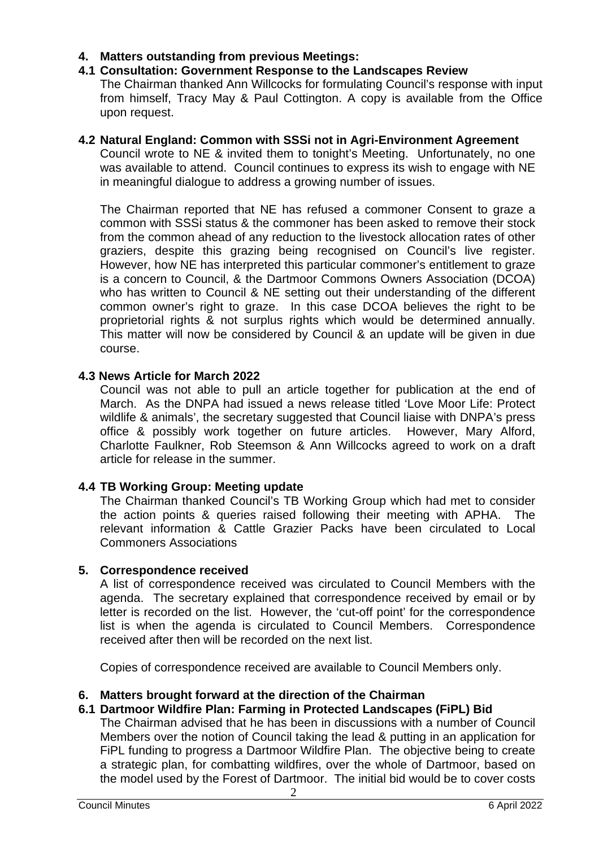## **4. Matters outstanding from previous Meetings:**

### **4.1 Consultation: Government Response to the Landscapes Review**

The Chairman thanked Ann Willcocks for formulating Council's response with input from himself, Tracy May & Paul Cottington. A copy is available from the Office upon request.

### **4.2 Natural England: Common with SSSi not in Agri-Environment Agreement**

Council wrote to NE & invited them to tonight's Meeting. Unfortunately, no one was available to attend. Council continues to express its wish to engage with NE in meaningful dialogue to address a growing number of issues.

The Chairman reported that NE has refused a commoner Consent to graze a common with SSSi status & the commoner has been asked to remove their stock from the common ahead of any reduction to the livestock allocation rates of other graziers, despite this grazing being recognised on Council's live register. However, how NE has interpreted this particular commoner's entitlement to graze is a concern to Council, & the Dartmoor Commons Owners Association (DCOA) who has written to Council & NE setting out their understanding of the different common owner's right to graze. In this case DCOA believes the right to be proprietorial rights & not surplus rights which would be determined annually. This matter will now be considered by Council & an update will be given in due course.

### **4.3 News Article for March 2022**

Council was not able to pull an article together for publication at the end of March. As the DNPA had issued a news release titled 'Love Moor Life: Protect wildlife & animals', the secretary suggested that Council liaise with DNPA's press office & possibly work together on future articles. However, Mary Alford, Charlotte Faulkner, Rob Steemson & Ann Willcocks agreed to work on a draft article for release in the summer.

### **4.4 TB Working Group: Meeting update**

The Chairman thanked Council's TB Working Group which had met to consider the action points & queries raised following their meeting with APHA. The relevant information & Cattle Grazier Packs have been circulated to Local Commoners Associations

### **5. Correspondence received**

A list of correspondence received was circulated to Council Members with the agenda. The secretary explained that correspondence received by email or by letter is recorded on the list. However, the 'cut-off point' for the correspondence list is when the agenda is circulated to Council Members. Correspondence received after then will be recorded on the next list.

Copies of correspondence received are available to Council Members only.

### **6. Matters brought forward at the direction of the Chairman**

### **6.1 Dartmoor Wildfire Plan: Farming in Protected Landscapes (FiPL) Bid**

The Chairman advised that he has been in discussions with a number of Council Members over the notion of Council taking the lead & putting in an application for FiPL funding to progress a Dartmoor Wildfire Plan. The objective being to create a strategic plan, for combatting wildfires, over the whole of Dartmoor, based on the model used by the Forest of Dartmoor. The initial bid would be to cover costs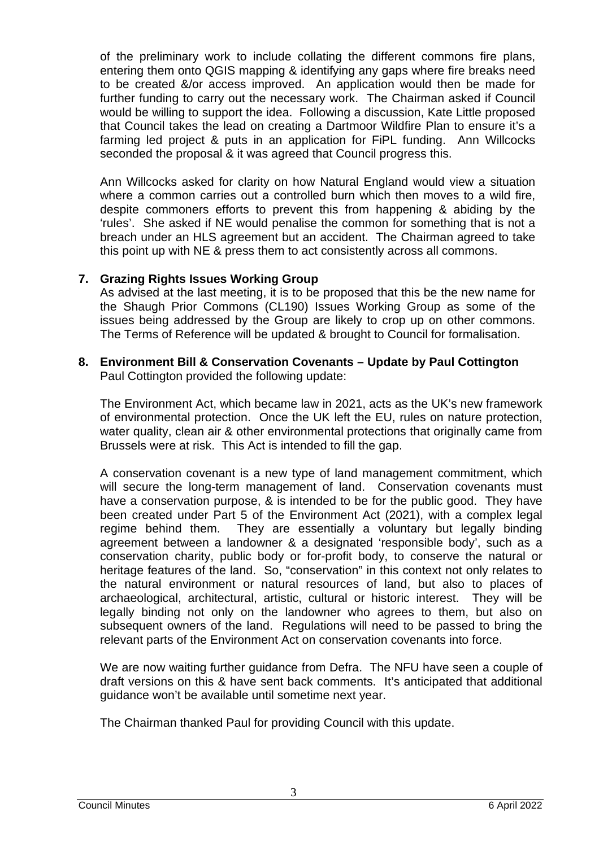of the preliminary work to include collating the different commons fire plans, entering them onto QGIS mapping & identifying any gaps where fire breaks need to be created &/or access improved. An application would then be made for further funding to carry out the necessary work. The Chairman asked if Council would be willing to support the idea. Following a discussion, Kate Little proposed that Council takes the lead on creating a Dartmoor Wildfire Plan to ensure it's a farming led project & puts in an application for FiPL funding. Ann Willcocks seconded the proposal & it was agreed that Council progress this.

Ann Willcocks asked for clarity on how Natural England would view a situation where a common carries out a controlled burn which then moves to a wild fire, despite commoners efforts to prevent this from happening & abiding by the 'rules'. She asked if NE would penalise the common for something that is not a breach under an HLS agreement but an accident. The Chairman agreed to take this point up with NE & press them to act consistently across all commons.

## **7. Grazing Rights Issues Working Group**

As advised at the last meeting, it is to be proposed that this be the new name for the Shaugh Prior Commons (CL190) Issues Working Group as some of the issues being addressed by the Group are likely to crop up on other commons. The Terms of Reference will be updated & brought to Council for formalisation.

## **8. Environment Bill & Conservation Covenants – Update by Paul Cottington** Paul Cottington provided the following update:

The Environment Act, which became law in 2021, acts as the UK's new framework of environmental protection. Once the UK left the EU, rules on nature protection, water quality, clean air & other environmental protections that originally came from Brussels were at risk. This Act is intended to fill the gap.

A conservation covenant is a new type of land management commitment, which will secure the long-term management of land. Conservation covenants must have a conservation purpose, & is intended to be for the public good. They have been created under Part 5 of the Environment Act (2021), with a complex legal regime behind them. They are essentially a voluntary but legally binding agreement between a landowner & a designated 'responsible body', such as a conservation charity, public body or for-profit body, to conserve the natural or heritage features of the land. So, "conservation" in this context not only relates to the natural environment or natural resources of land, but also to places of archaeological, architectural, artistic, cultural or historic interest. They will be legally binding not only on the landowner who agrees to them, but also on subsequent owners of the land. Regulations will need to be passed to bring the relevant parts of the Environment Act on conservation covenants into force.

We are now waiting further guidance from Defra. The NFU have seen a couple of draft versions on this & have sent back comments. It's anticipated that additional guidance won't be available until sometime next year.

The Chairman thanked Paul for providing Council with this update.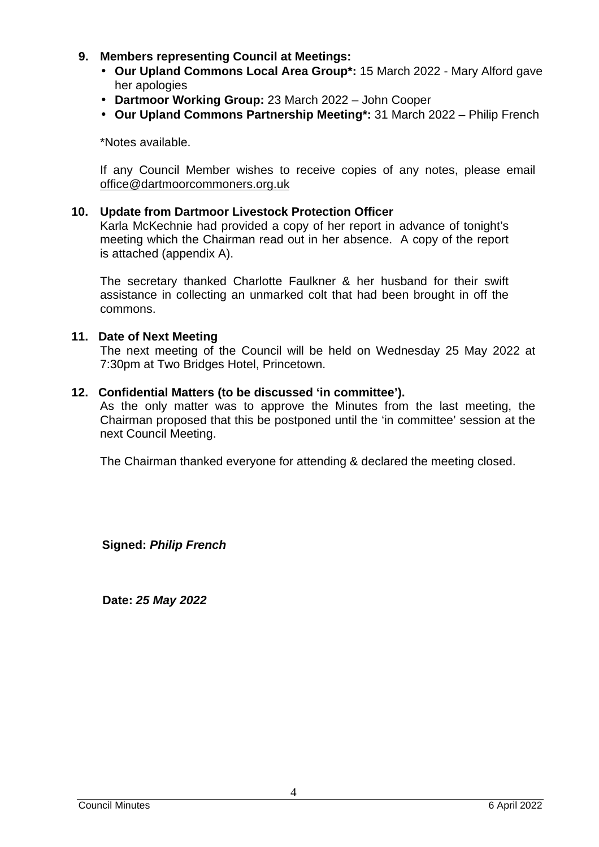- **9. Members representing Council at Meetings:** 
	- **Our Upland Commons Local Area Group\*:** 15 March 2022 Mary Alford gave her apologies
	- **Dartmoor Working Group:** 23 March 2022 John Cooper
	- **Our Upland Commons Partnership Meeting\*:** 31 March 2022 Philip French

\*Notes available.

If any Council Member wishes to receive copies of any notes, please email office@dartmoorcommoners.org.uk

#### **10. Update from Dartmoor Livestock Protection Officer**

Karla McKechnie had provided a copy of her report in advance of tonight's meeting which the Chairman read out in her absence. A copy of the report is attached (appendix A).

The secretary thanked Charlotte Faulkner & her husband for their swift assistance in collecting an unmarked colt that had been brought in off the commons.

#### **11. Date of Next Meeting**

The next meeting of the Council will be held on Wednesday 25 May 2022 at 7:30pm at Two Bridges Hotel, Princetown.

#### **12. Confidential Matters (to be discussed 'in committee').**

As the only matter was to approve the Minutes from the last meeting, the Chairman proposed that this be postponed until the 'in committee' session at the next Council Meeting.

The Chairman thanked everyone for attending & declared the meeting closed.

**Signed: Philip French**

 **Date: 25 May 2022**

4